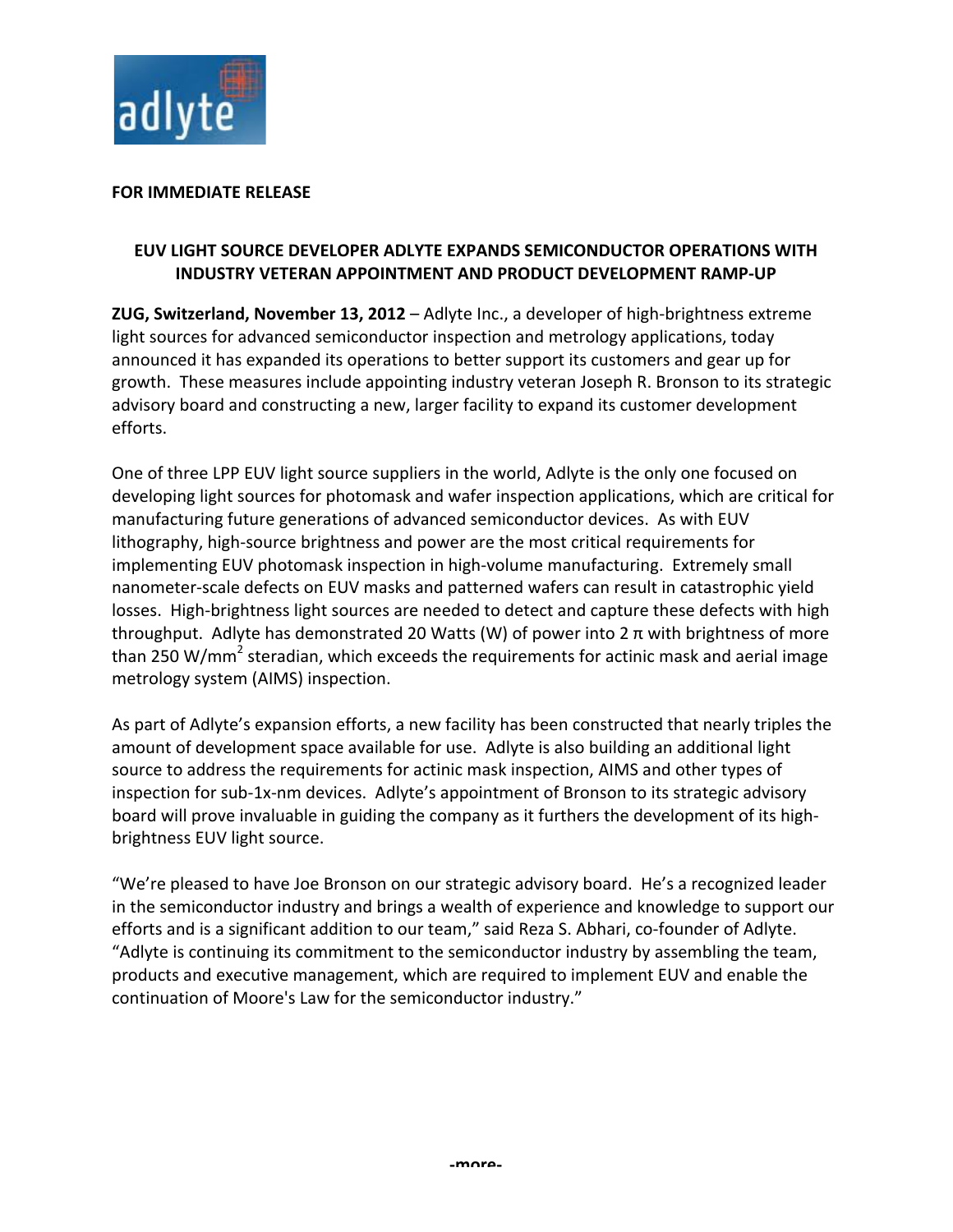

## **FOR IMMEDIATE RELEASE**

# **EUV LIGHT SOURCE DEVELOPER ADLYTE EXPANDS SEMICONDUCTOR OPERATIONS WITH INDUSTRY VETERAN APPOINTMENT AND PRODUCT DEVELOPMENT RAMP-UP**

**ZUG, Switzerland, November 13, 2012** – Adlyte Inc., a developer of high-brightness extreme light sources for advanced semiconductor inspection and metrology applications, today announced it has expanded its operations to better support its customers and gear up for growth. These measures include appointing industry veteran Joseph R. Bronson to its strategic advisory board and constructing a new, larger facility to expand its customer development efforts. 

One of three LPP EUV light source suppliers in the world, Adlyte is the only one focused on developing light sources for photomask and wafer inspection applications, which are critical for manufacturing future generations of advanced semiconductor devices. As with EUV lithography, high-source brightness and power are the most critical requirements for implementing EUV photomask inspection in high-volume manufacturing. Extremely small nanometer-scale defects on EUV masks and patterned wafers can result in catastrophic yield losses. High-brightness light sources are needed to detect and capture these defects with high throughput. Adlyte has demonstrated 20 Watts (W) of power into  $2 \pi$  with brightness of more than 250 W/mm<sup>2</sup> steradian, which exceeds the requirements for actinic mask and aerial image metrology system (AIMS) inspection.

As part of Adlyte's expansion efforts, a new facility has been constructed that nearly triples the amount of development space available for use. Adlyte is also building an additional light source to address the requirements for actinic mask inspection, AIMS and other types of inspection for sub-1x-nm devices. Adlyte's appointment of Bronson to its strategic advisory board will prove invaluable in guiding the company as it furthers the development of its highbrightness EUV light source.

"We're pleased to have Joe Bronson on our strategic advisory board. He's a recognized leader in the semiconductor industry and brings a wealth of experience and knowledge to support our efforts and is a significant addition to our team," said Reza S. Abhari, co-founder of Adlyte. "Adlyte is continuing its commitment to the semiconductor industry by assembling the team, products and executive management, which are required to implement EUV and enable the continuation of Moore's Law for the semiconductor industry."